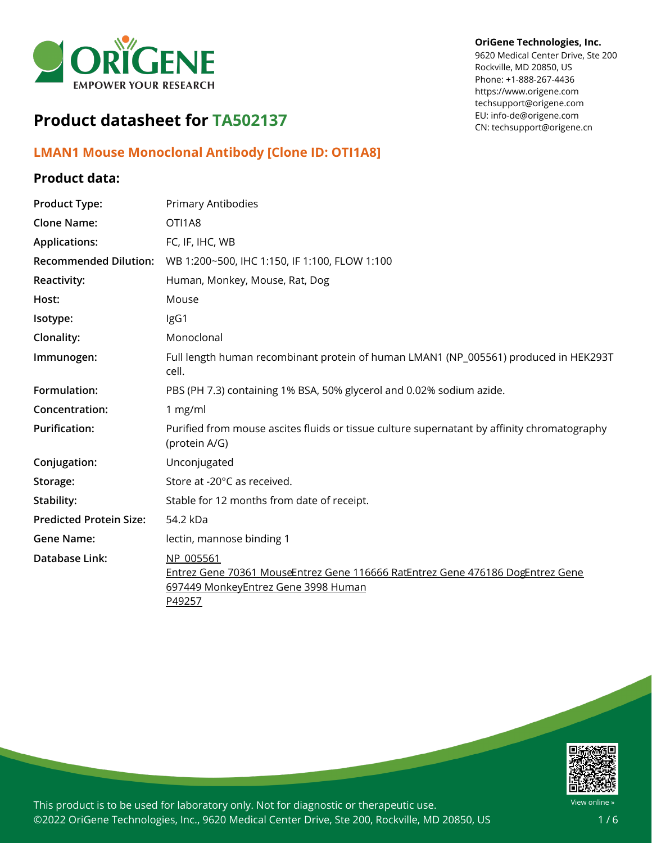

# **Product datasheet for TA502137**

## **LMAN1 Mouse Monoclonal Antibody [Clone ID: OTI1A8]**

### **Product data:**

| <b>Product Type:</b>           | <b>Primary Antibodies</b>                                                                                                                    |
|--------------------------------|----------------------------------------------------------------------------------------------------------------------------------------------|
| <b>Clone Name:</b>             | OTI1A8                                                                                                                                       |
| <b>Applications:</b>           | FC, IF, IHC, WB                                                                                                                              |
| <b>Recommended Dilution:</b>   | WB 1:200~500, IHC 1:150, IF 1:100, FLOW 1:100                                                                                                |
| Reactivity:                    | Human, Monkey, Mouse, Rat, Dog                                                                                                               |
| Host:                          | Mouse                                                                                                                                        |
| Isotype:                       | IgG1                                                                                                                                         |
| Clonality:                     | Monoclonal                                                                                                                                   |
| Immunogen:                     | Full length human recombinant protein of human LMAN1 (NP_005561) produced in HEK293T<br>cell.                                                |
| Formulation:                   | PBS (PH 7.3) containing 1% BSA, 50% glycerol and 0.02% sodium azide.                                                                         |
| Concentration:                 | 1 mg/ml                                                                                                                                      |
| <b>Purification:</b>           | Purified from mouse ascites fluids or tissue culture supernatant by affinity chromatography<br>(protein A/G)                                 |
| Conjugation:                   | Unconjugated                                                                                                                                 |
| Storage:                       | Store at -20°C as received.                                                                                                                  |
| Stability:                     | Stable for 12 months from date of receipt.                                                                                                   |
| <b>Predicted Protein Size:</b> | 54.2 kDa                                                                                                                                     |
| <b>Gene Name:</b>              | lectin, mannose binding 1                                                                                                                    |
| Database Link:                 | NP 005561<br>Entrez Gene 70361 MouseEntrez Gene 116666 RatEntrez Gene 476186 DogEntrez Gene<br>697449 MonkeyEntrez Gene 3998 Human<br>P49257 |



This product is to be used for laboratory only. Not for diagnostic or therapeutic use. ©2022 OriGene Technologies, Inc., 9620 Medical Center Drive, Ste 200, Rockville, MD 20850, US

#### **OriGene Technologies, Inc.**

9620 Medical Center Drive, Ste 200 Rockville, MD 20850, US Phone: +1-888-267-4436 https://www.origene.com techsupport@origene.com EU: info-de@origene.com CN: techsupport@origene.cn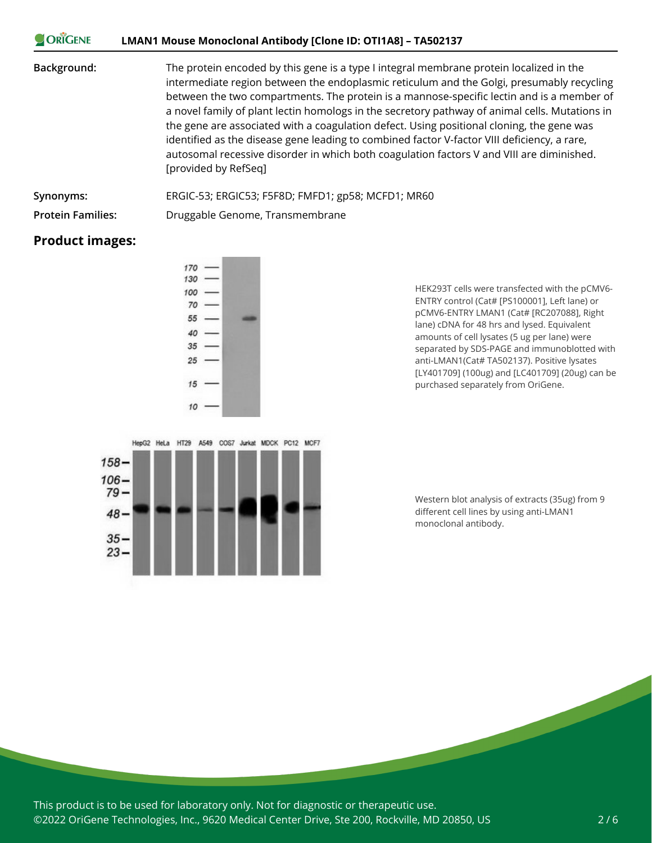| <b>ORIGENE</b> | LMAN1 Mouse Monoclonal Antibody [Clone ID: OTI1A8] – TA502137                                                                                                                                                                                                                                                                                                                                                                                                                                                                                                                                                                                                                                        |
|----------------|------------------------------------------------------------------------------------------------------------------------------------------------------------------------------------------------------------------------------------------------------------------------------------------------------------------------------------------------------------------------------------------------------------------------------------------------------------------------------------------------------------------------------------------------------------------------------------------------------------------------------------------------------------------------------------------------------|
| Background:    | The protein encoded by this gene is a type I integral membrane protein localized in the<br>intermediate region between the endoplasmic reticulum and the Golgi, presumably recycling<br>between the two compartments. The protein is a mannose-specific lectin and is a member of<br>a novel family of plant lectin homologs in the secretory pathway of animal cells. Mutations in<br>the gene are associated with a coagulation defect. Using positional cloning, the gene was<br>identified as the disease gene leading to combined factor V-factor VIII deficiency, a rare,<br>autosomal recessive disorder in which both coagulation factors V and VIII are diminished.<br>[provided by RefSeq] |
| Synonyms:      | ERGIC-53; ERGIC53; F5F8D; FMFD1; gp58; MCFD1; MR60                                                                                                                                                                                                                                                                                                                                                                                                                                                                                                                                                                                                                                                   |

 $\sim$   $\sqrt{2}$ 

**Protein Families:** Druggable Genome, Transmembrane

### **Product images:**





HEK293T cells were transfected with the pCMV6- ENTRY control (Cat# [PS100001], Left lane) or pCMV6-ENTRY LMAN1 (Cat# [RC207088], Right lane) cDNA for 48 hrs and lysed. Equivalent amounts of cell lysates (5 ug per lane) were separated by SDS-PAGE and immunoblotted with anti-LMAN1(Cat# TA502137). Positive lysates [LY401709] (100ug) and [LC401709] (20ug) can be purchased separately from OriGene.

Western blot analysis of extracts (35ug) from 9 different cell lines by using anti-LMAN1 monoclonal antibody.

This product is to be used for laboratory only. Not for diagnostic or therapeutic use. ©2022 OriGene Technologies, Inc., 9620 Medical Center Drive, Ste 200, Rockville, MD 20850, US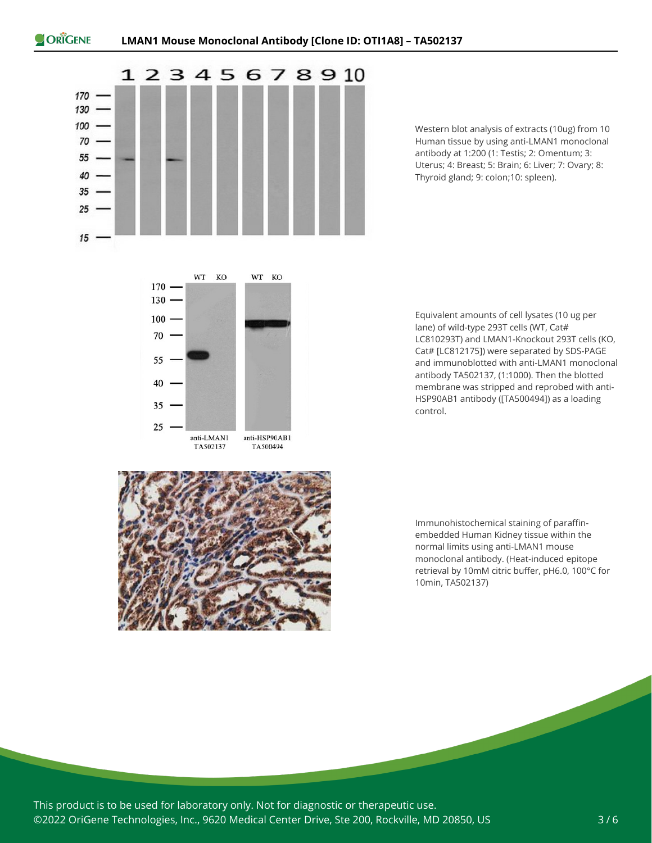

Western blot analysis of extracts (10ug) from 10 Human tissue by using anti-LMAN1 monoclonal antibody at 1:200 (1: Testis; 2: Omentum; 3: Uterus; 4: Breast; 5: Brain; 6: Liver; 7: Ovary; 8: Thyroid gland; 9: colon;10: spleen).



Equivalent amounts of cell lysates (10 ug per lane) of wild-type 293T cells (WT, Cat# LC810293T) and LMAN1-Knockout 293T cells (KO, Cat# [LC812175]) were separated by SDS-PAGE and immunoblotted with anti-LMAN1 monoclonal antibody TA502137, (1:1000). Then the blotted membrane was stripped and reprobed with anti-HSP90AB1 antibody ([TA500494]) as a loading control.



Immunohistochemical staining of paraffinembedded Human Kidney tissue within the normal limits using anti-LMAN1 mouse monoclonal antibody. (Heat-induced epitope retrieval by 10mM citric buffer, pH6.0, 100°C for 10min, TA502137)

This product is to be used for laboratory only. Not for diagnostic or therapeutic use. ©2022 OriGene Technologies, Inc., 9620 Medical Center Drive, Ste 200, Rockville, MD 20850, US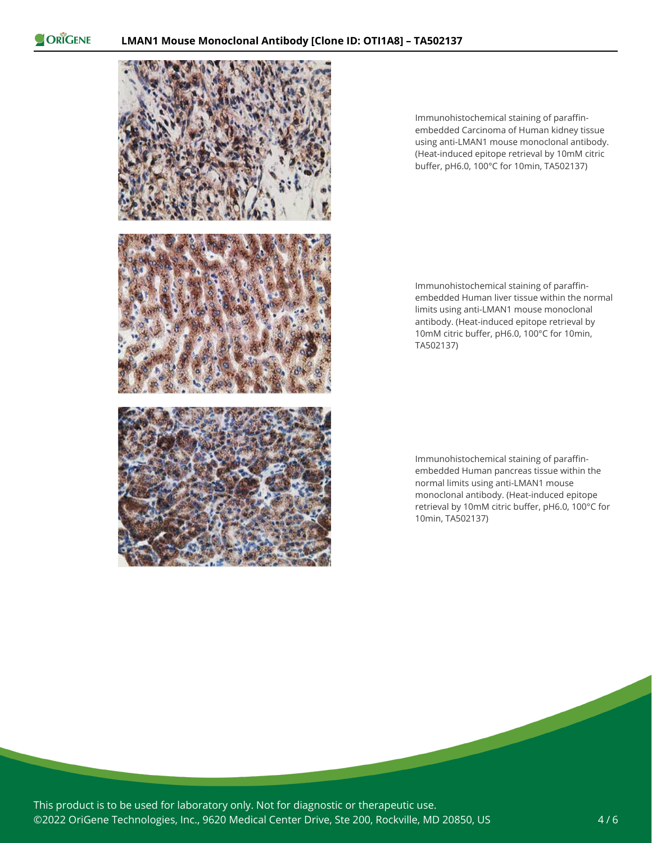ORIGENE



Immunohistochemical staining of paraffinembedded Carcinoma of Human kidney tissue using anti-LMAN1 mouse monoclonal antibody. (Heat-induced epitope retrieval by 10mM citric buffer, pH6.0, 100°C for 10min, TA502137)

Immunohistochemical staining of paraffinembedded Human liver tissue within the normal limits using anti-LMAN1 mouse monoclonal antibody. (Heat-induced epitope retrieval by 10mM citric buffer, pH6.0, 100°C for 10min, TA502137)

Immunohistochemical staining of paraffinembedded Human pancreas tissue within the normal limits using anti-LMAN1 mouse monoclonal antibody. (Heat-induced epitope retrieval by 10mM citric buffer, pH6.0, 100°C for 10min, TA502137)

This product is to be used for laboratory only. Not for diagnostic or therapeutic use. ©2022 OriGene Technologies, Inc., 9620 Medical Center Drive, Ste 200, Rockville, MD 20850, US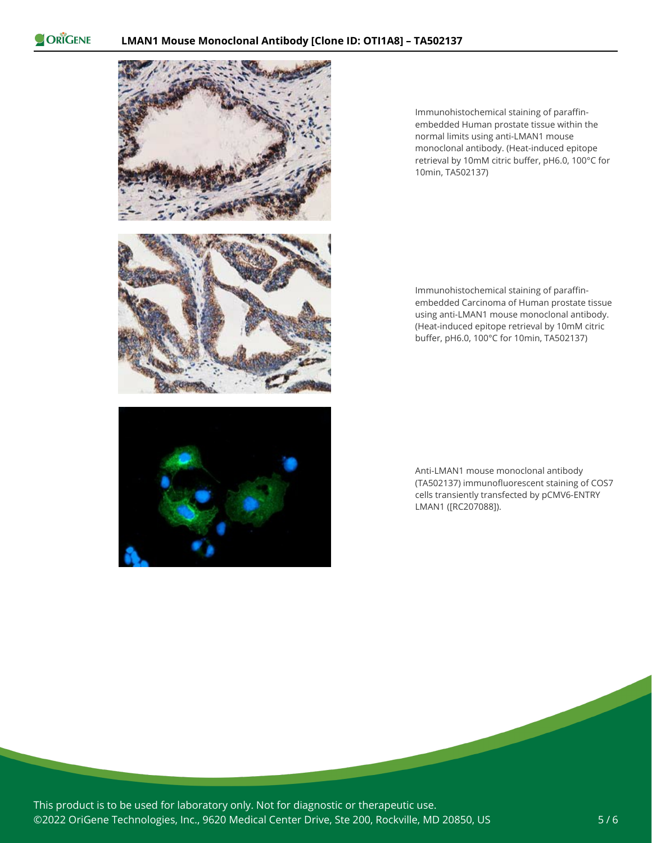ORIGENE





Immunohistochemical staining of paraffinembedded Carcinoma of Human prostate tissue using anti-LMAN1 mouse monoclonal antibody. (Heat-induced epitope retrieval by 10mM citric buffer, pH6.0, 100°C for 10min, TA502137)



Anti-LMAN1 mouse monoclonal antibody (TA502137) immunofluorescent staining of COS7 cells transiently transfected by pCMV6-ENTRY LMAN1 ([RC207088]).

This product is to be used for laboratory only. Not for diagnostic or therapeutic use. ©2022 OriGene Technologies, Inc., 9620 Medical Center Drive, Ste 200, Rockville, MD 20850, US